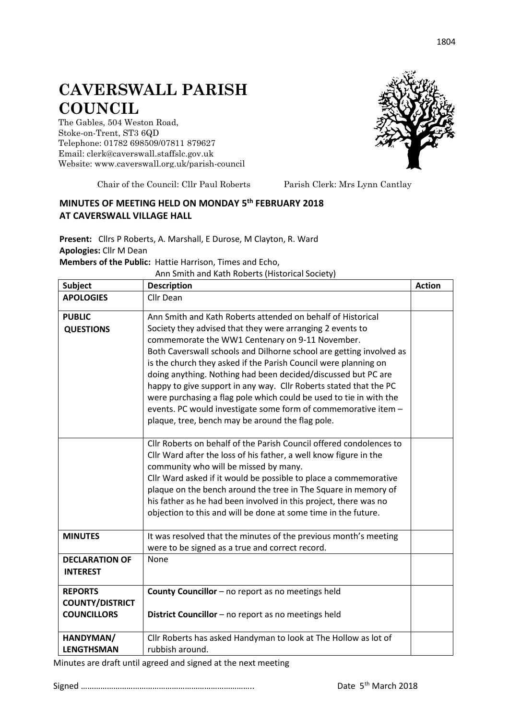## **CAVERSWALL PARISH COUNCIL**

The Gables, 504 Weston Road, Stoke-on-Trent, ST3 6QD Telephone: 01782 698509/07811 879627 Email: clerk@caverswall.staffslc.gov.uk Website: [www.c](http://www.dilhorneparishcouncil.co.uk/)averswall.org.uk/parish-council



Chair of the Council: Cllr Paul Roberts Parish Clerk: Mrs Lynn Cantlay

## **MINUTES OF MEETING HELD ON MONDAY 5 th FEBRUARY 2018 AT CAVERSWALL VILLAGE HALL**

**Present:** Cllrs P Roberts, A. Marshall, E Durose, M Clayton, R. Ward **Apologies:** Cllr M Dean **Members of the Public:** Hattie Harrison, Times and Echo,

Ann Smith and Kath Roberts (Historical Society)

| <b>Subject</b>                                                 | <b>Description</b>                                                                                                                                                                                                                                                                                                                                                                                                                                                                                                                                                                                                                                      | <b>Action</b> |
|----------------------------------------------------------------|---------------------------------------------------------------------------------------------------------------------------------------------------------------------------------------------------------------------------------------------------------------------------------------------------------------------------------------------------------------------------------------------------------------------------------------------------------------------------------------------------------------------------------------------------------------------------------------------------------------------------------------------------------|---------------|
| <b>APOLOGIES</b>                                               | Cllr Dean                                                                                                                                                                                                                                                                                                                                                                                                                                                                                                                                                                                                                                               |               |
| <b>PUBLIC</b><br><b>QUESTIONS</b>                              | Ann Smith and Kath Roberts attended on behalf of Historical<br>Society they advised that they were arranging 2 events to<br>commemorate the WW1 Centenary on 9-11 November.<br>Both Caverswall schools and Dilhorne school are getting involved as<br>is the church they asked if the Parish Council were planning on<br>doing anything. Nothing had been decided/discussed but PC are<br>happy to give support in any way. Cllr Roberts stated that the PC<br>were purchasing a flag pole which could be used to tie in with the<br>events. PC would investigate some form of commemorative item -<br>plaque, tree, bench may be around the flag pole. |               |
|                                                                | Cllr Roberts on behalf of the Parish Council offered condolences to<br>Cllr Ward after the loss of his father, a well know figure in the<br>community who will be missed by many.<br>Cllr Ward asked if it would be possible to place a commemorative<br>plaque on the bench around the tree in The Square in memory of<br>his father as he had been involved in this project, there was no<br>objection to this and will be done at some time in the future.                                                                                                                                                                                           |               |
| <b>MINUTES</b>                                                 | It was resolved that the minutes of the previous month's meeting<br>were to be signed as a true and correct record.                                                                                                                                                                                                                                                                                                                                                                                                                                                                                                                                     |               |
| <b>DECLARATION OF</b><br><b>INTEREST</b>                       | None                                                                                                                                                                                                                                                                                                                                                                                                                                                                                                                                                                                                                                                    |               |
| <b>REPORTS</b><br><b>COUNTY/DISTRICT</b><br><b>COUNCILLORS</b> | County Councillor - no report as no meetings held<br>District Councillor - no report as no meetings held                                                                                                                                                                                                                                                                                                                                                                                                                                                                                                                                                |               |
| HANDYMAN/<br><b>LENGTHSMAN</b>                                 | Cllr Roberts has asked Handyman to look at The Hollow as lot of<br>rubbish around.                                                                                                                                                                                                                                                                                                                                                                                                                                                                                                                                                                      |               |

Minutes are draft until agreed and signed at the next meeting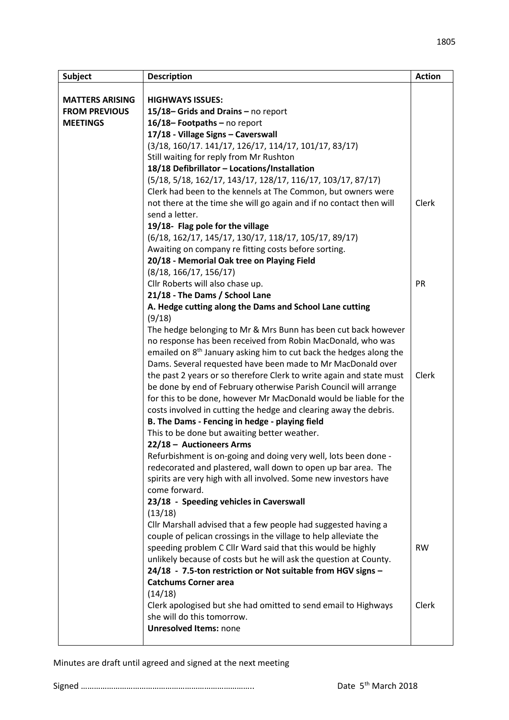| <b>Subject</b>         | <b>Description</b>                                                                                                              | <b>Action</b> |
|------------------------|---------------------------------------------------------------------------------------------------------------------------------|---------------|
|                        |                                                                                                                                 |               |
| <b>MATTERS ARISING</b> | <b>HIGHWAYS ISSUES:</b>                                                                                                         |               |
| <b>FROM PREVIOUS</b>   | 15/18-Grids and Drains - no report                                                                                              |               |
| <b>MEETINGS</b>        | 16/18-Footpaths-no report                                                                                                       |               |
|                        | 17/18 - Village Signs - Caverswall                                                                                              |               |
|                        | (3/18, 160/17. 141/17, 126/17, 114/17, 101/17, 83/17)                                                                           |               |
|                        | Still waiting for reply from Mr Rushton                                                                                         |               |
|                        | 18/18 Defibrillator - Locations/Installation                                                                                    |               |
|                        | (5/18, 5/18, 162/17, 143/17, 128/17, 116/17, 103/17, 87/17)                                                                     |               |
|                        | Clerk had been to the kennels at The Common, but owners were                                                                    | Clerk         |
|                        | not there at the time she will go again and if no contact then will<br>send a letter.                                           |               |
|                        | 19/18- Flag pole for the village                                                                                                |               |
|                        | (6/18, 162/17, 145/17, 130/17, 118/17, 105/17, 89/17)                                                                           |               |
|                        | Awaiting on company re fitting costs before sorting.                                                                            |               |
|                        | 20/18 - Memorial Oak tree on Playing Field                                                                                      |               |
|                        | (8/18, 166/17, 156/17)                                                                                                          |               |
|                        | Cllr Roberts will also chase up.                                                                                                | PR            |
|                        | 21/18 - The Dams / School Lane                                                                                                  |               |
|                        | A. Hedge cutting along the Dams and School Lane cutting                                                                         |               |
|                        | (9/18)                                                                                                                          |               |
|                        | The hedge belonging to Mr & Mrs Bunn has been cut back however                                                                  |               |
|                        | no response has been received from Robin MacDonald, who was                                                                     |               |
|                        | emailed on 8 <sup>th</sup> January asking him to cut back the hedges along the                                                  |               |
|                        | Dams. Several requested have been made to Mr MacDonald over                                                                     |               |
|                        | the past 2 years or so therefore Clerk to write again and state must                                                            | Clerk         |
|                        | be done by end of February otherwise Parish Council will arrange                                                                |               |
|                        | for this to be done, however Mr MacDonald would be liable for the                                                               |               |
|                        | costs involved in cutting the hedge and clearing away the debris.                                                               |               |
|                        | B. The Dams - Fencing in hedge - playing field                                                                                  |               |
|                        | This to be done but awaiting better weather.                                                                                    |               |
|                        | 22/18 - Auctioneers Arms                                                                                                        |               |
|                        | Refurbishment is on-going and doing very well, lots been done -                                                                 |               |
|                        | redecorated and plastered, wall down to open up bar area. The                                                                   |               |
|                        | spirits are very high with all involved. Some new investors have                                                                |               |
|                        | come forward.                                                                                                                   |               |
|                        | 23/18 - Speeding vehicles in Caverswall                                                                                         |               |
|                        | (13/18)                                                                                                                         |               |
|                        | Cllr Marshall advised that a few people had suggested having a                                                                  |               |
|                        | couple of pelican crossings in the village to help alleviate the<br>speeding problem C Cllr Ward said that this would be highly | <b>RW</b>     |
|                        | unlikely because of costs but he will ask the question at County.                                                               |               |
|                        | 24/18 - 7.5-ton restriction or Not suitable from HGV signs -                                                                    |               |
|                        | <b>Catchums Corner area</b>                                                                                                     |               |
|                        | (14/18)                                                                                                                         |               |
|                        | Clerk apologised but she had omitted to send email to Highways                                                                  | Clerk         |
|                        | she will do this tomorrow.                                                                                                      |               |
|                        | <b>Unresolved Items: none</b>                                                                                                   |               |
|                        |                                                                                                                                 |               |

Minutes are draft until agreed and signed at the next meeting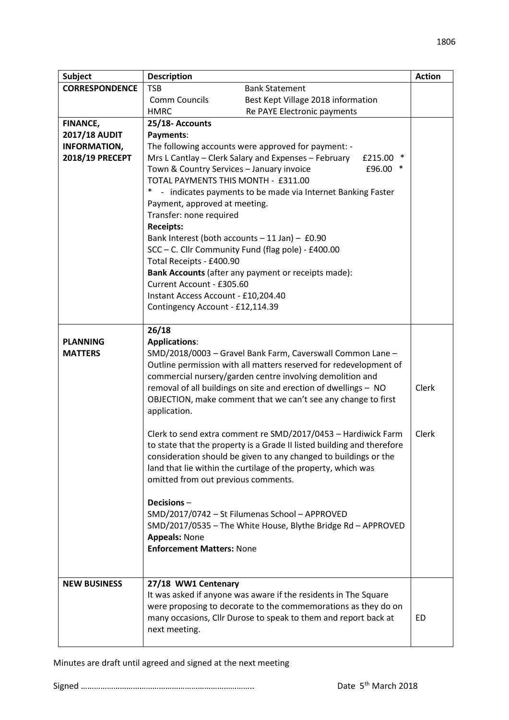| Subject               | <b>Description</b>                                                                                      |                                                                                                                                  |       |  |  |
|-----------------------|---------------------------------------------------------------------------------------------------------|----------------------------------------------------------------------------------------------------------------------------------|-------|--|--|
| <b>CORRESPONDENCE</b> | <b>TSB</b>                                                                                              | <b>Bank Statement</b>                                                                                                            |       |  |  |
|                       | <b>Comm Councils</b>                                                                                    | Best Kept Village 2018 information                                                                                               |       |  |  |
|                       | <b>HMRC</b>                                                                                             | Re PAYE Electronic payments                                                                                                      |       |  |  |
| <b>FINANCE,</b>       | 25/18- Accounts                                                                                         |                                                                                                                                  |       |  |  |
| <b>2017/18 AUDIT</b>  | Payments:                                                                                               |                                                                                                                                  |       |  |  |
| <b>INFORMATION,</b>   | The following accounts were approved for payment: -                                                     |                                                                                                                                  |       |  |  |
| 2018/19 PRECEPT       | Mrs L Cantlay - Clerk Salary and Expenses - February<br>£215.00 *                                       |                                                                                                                                  |       |  |  |
|                       | Town & Country Services - January invoice<br>£96.00                                                     |                                                                                                                                  |       |  |  |
|                       | TOTAL PAYMENTS THIS MONTH - £311.00                                                                     |                                                                                                                                  |       |  |  |
|                       | - indicates payments to be made via Internet Banking Faster                                             |                                                                                                                                  |       |  |  |
|                       | Payment, approved at meeting.                                                                           |                                                                                                                                  |       |  |  |
|                       | Transfer: none required                                                                                 |                                                                                                                                  |       |  |  |
|                       | <b>Receipts:</b>                                                                                        |                                                                                                                                  |       |  |  |
|                       | Bank Interest (both accounts $-11$ Jan) $-$ £0.90<br>SCC - C. Cllr Community Fund (flag pole) - £400.00 |                                                                                                                                  |       |  |  |
|                       | Total Receipts - £400.90                                                                                |                                                                                                                                  |       |  |  |
|                       | Bank Accounts (after any payment or receipts made):                                                     |                                                                                                                                  |       |  |  |
|                       | Current Account - £305.60                                                                               |                                                                                                                                  |       |  |  |
|                       | Instant Access Account - £10,204.40                                                                     |                                                                                                                                  |       |  |  |
|                       | Contingency Account - £12,114.39                                                                        |                                                                                                                                  |       |  |  |
|                       |                                                                                                         |                                                                                                                                  |       |  |  |
|                       | 26/18                                                                                                   |                                                                                                                                  |       |  |  |
| <b>PLANNING</b>       | <b>Applications:</b>                                                                                    |                                                                                                                                  |       |  |  |
| <b>MATTERS</b>        | SMD/2018/0003 - Gravel Bank Farm, Caverswall Common Lane -                                              |                                                                                                                                  |       |  |  |
|                       | Outline permission with all matters reserved for redevelopment of                                       |                                                                                                                                  |       |  |  |
|                       |                                                                                                         | commercial nursery/garden centre involving demolition and                                                                        |       |  |  |
|                       |                                                                                                         | removal of all buildings on site and erection of dwellings - NO<br>OBJECTION, make comment that we can't see any change to first | Clerk |  |  |
|                       | application.                                                                                            |                                                                                                                                  |       |  |  |
|                       |                                                                                                         |                                                                                                                                  |       |  |  |
|                       | Clerk to send extra comment re SMD/2017/0453 - Hardiwick Farm                                           |                                                                                                                                  |       |  |  |
|                       | to state that the property is a Grade II listed building and therefore                                  |                                                                                                                                  |       |  |  |
|                       |                                                                                                         | consideration should be given to any changed to buildings or the                                                                 |       |  |  |
|                       |                                                                                                         | land that lie within the curtilage of the property, which was                                                                    |       |  |  |
|                       | omitted from out previous comments.                                                                     |                                                                                                                                  |       |  |  |
|                       |                                                                                                         |                                                                                                                                  |       |  |  |
|                       | Decisions-                                                                                              |                                                                                                                                  |       |  |  |
|                       |                                                                                                         | SMD/2017/0742 - St Filumenas School - APPROVED<br>SMD/2017/0535 - The White House, Blythe Bridge Rd - APPROVED                   |       |  |  |
|                       | <b>Appeals: None</b>                                                                                    |                                                                                                                                  |       |  |  |
|                       | <b>Enforcement Matters: None</b>                                                                        |                                                                                                                                  |       |  |  |
|                       |                                                                                                         |                                                                                                                                  |       |  |  |
|                       |                                                                                                         |                                                                                                                                  |       |  |  |
| <b>NEW BUSINESS</b>   | 27/18 WW1 Centenary                                                                                     |                                                                                                                                  |       |  |  |
|                       |                                                                                                         | It was asked if anyone was aware if the residents in The Square                                                                  |       |  |  |
|                       |                                                                                                         | were proposing to decorate to the commemorations as they do on                                                                   |       |  |  |
|                       |                                                                                                         | many occasions, Cllr Durose to speak to them and report back at                                                                  | ED.   |  |  |
|                       | next meeting.                                                                                           |                                                                                                                                  |       |  |  |
|                       |                                                                                                         |                                                                                                                                  |       |  |  |

1806

Minutes are draft until agreed and signed at the next meeting